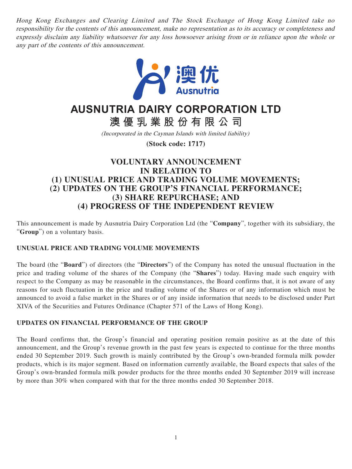Hong Kong Exchanges and Clearing Limited and The Stock Exchange of Hong Kong Limited take no responsibility for the contents of this announcement, make no representation as to its accuracy or completeness and expressly disclaim any liability whatsoever for any loss howsoever arising from or in reliance upon the whole or any part of the contents of this announcement.



# **AUSNUTRIA DAIRY CORPORATION LTD**

**澳優乳業股份有限公司**

(Incorporated in the Cayman Islands with limited liability)

**(Stock code: 1717)**

## **VOLUNTARY ANNOUNCEMENT IN RELATION TO (1) UNUSUAL PRICE AND TRADING VOLUME MOVEMENTS; (2) UPDATES ON THE GROUP'S FINANCIAL PERFORMANCE; (3) SHARE REPURCHASE; AND (4) PROGRESS OF THE INDEPENDENT REVIEW**

This announcement is made by Ausnutria Dairy Corporation Ltd (the "**Company**", together with its subsidiary, the "**Group**") on a voluntary basis.

### **UNUSUAL PRICE AND TRADING VOLUME MOVEMENTS**

The board (the "**Board**") of directors (the "**Directors**") of the Company has noted the unusual fluctuation in the price and trading volume of the shares of the Company (the "**Shares**") today. Having made such enquiry with respect to the Company as may be reasonable in the circumstances, the Board confirms that, it is not aware of any reasons for such fluctuation in the price and trading volume of the Shares or of any information which must be announced to avoid a false market in the Shares or of any inside information that needs to be disclosed under Part XIVA of the Securities and Futures Ordinance (Chapter 571 of the Laws of Hong Kong).

#### **UPDATES ON FINANCIAL PERFORMANCE OF THE GROUP**

The Board confirms that, the Group's financial and operating position remain positive as at the date of this announcement, and the Group's revenue growth in the past few years is expected to continue for the three months ended 30 September 2019. Such growth is mainly contributed by the Group's own-branded formula milk powder products, which is its major segment. Based on information currently available, the Board expects that sales of the Group's own-branded formula milk powder products for the three months ended 30 September 2019 will increase by more than 30% when compared with that for the three months ended 30 September 2018.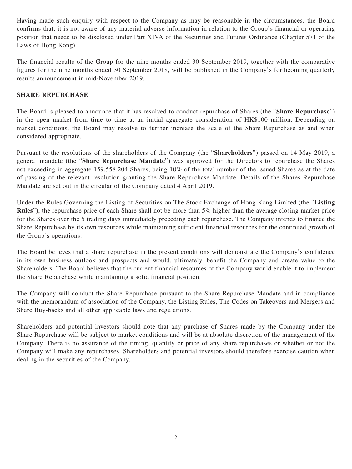Having made such enquiry with respect to the Company as may be reasonable in the circumstances, the Board confirms that, it is not aware of any material adverse information in relation to the Group's financial or operating position that needs to be disclosed under Part XIVA of the Securities and Futures Ordinance (Chapter 571 of the Laws of Hong Kong).

The financial results of the Group for the nine months ended 30 September 2019, together with the comparative figures for the nine months ended 30 September 2018, will be published in the Company's forthcoming quarterly results announcement in mid-November 2019.

#### **SHARE REPURCHASE**

The Board is pleased to announce that it has resolved to conduct repurchase of Shares (the "**Share Repurchase**") in the open market from time to time at an initial aggregate consideration of HK\$100 million. Depending on market conditions, the Board may resolve to further increase the scale of the Share Repurchase as and when considered appropriate.

Pursuant to the resolutions of the shareholders of the Company (the "**Shareholders**") passed on 14 May 2019, a general mandate (the "**Share Repurchase Mandate**") was approved for the Directors to repurchase the Shares not exceeding in aggregate 159,558,204 Shares, being 10% of the total number of the issued Shares as at the date of passing of the relevant resolution granting the Share Repurchase Mandate. Details of the Shares Repurchase Mandate are set out in the circular of the Company dated 4 April 2019.

Under the Rules Governing the Listing of Securities on The Stock Exchange of Hong Kong Limited (the "**Listing Rules**"), the repurchase price of each Share shall not be more than 5% higher than the average closing market price for the Shares over the 5 trading days immediately preceding each repurchase. The Company intends to finance the Share Repurchase by its own resources while maintaining sufficient financial resources for the continued growth of the Group's operations.

The Board believes that a share repurchase in the present conditions will demonstrate the Company's confidence in its own business outlook and prospects and would, ultimately, benefit the Company and create value to the Shareholders. The Board believes that the current financial resources of the Company would enable it to implement the Share Repurchase while maintaining a solid financial position.

The Company will conduct the Share Repurchase pursuant to the Share Repurchase Mandate and in compliance with the memorandum of association of the Company, the Listing Rules, The Codes on Takeovers and Mergers and Share Buy-backs and all other applicable laws and regulations.

Shareholders and potential investors should note that any purchase of Shares made by the Company under the Share Repurchase will be subject to market conditions and will be at absolute discretion of the management of the Company. There is no assurance of the timing, quantity or price of any share repurchases or whether or not the Company will make any repurchases. Shareholders and potential investors should therefore exercise caution when dealing in the securities of the Company.